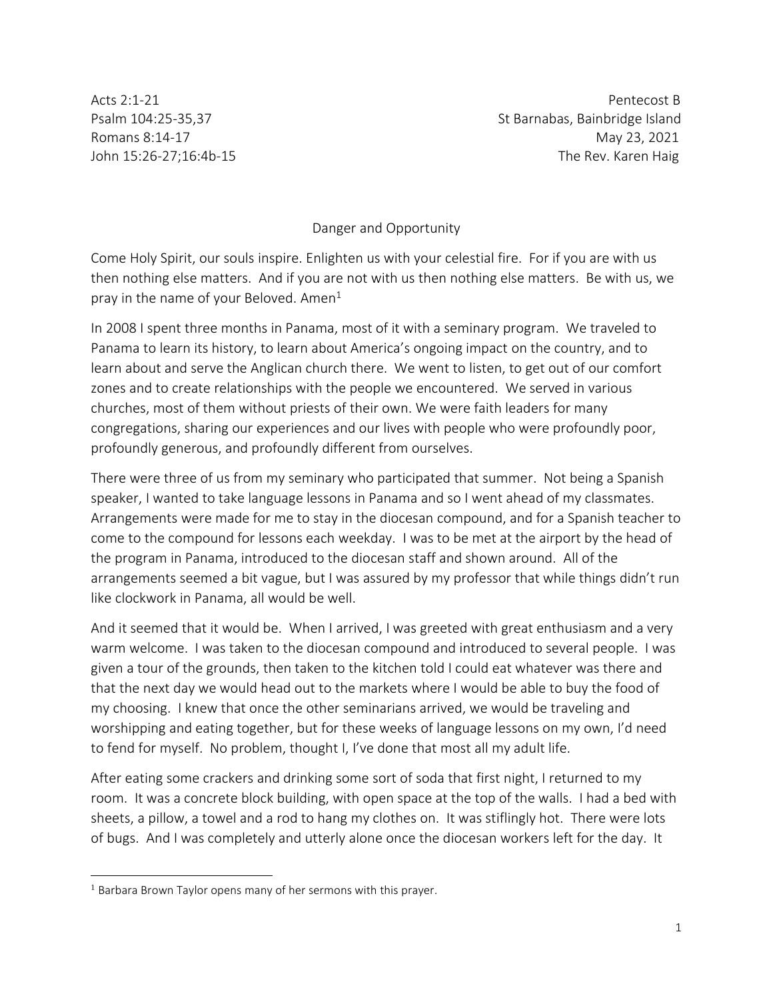Acts 2:1-21 Pentecost B Psalm 104:25-35,37 St Barnabas, Bainbridge Island Romans 8:14-17 May 23, 2021 John 15:26-27;16:4b-15 The Rev. Karen Haig

Danger and Opportunity

Come Holy Spirit, our souls inspire. Enlighten us with your celestial fire. For if you are with us then nothing else matters. And if you are not with us then nothing else matters. Be with us, we pray in the name of your Beloved. Amen $1$ 

In 2008 I spent three months in Panama, most of it with a seminary program. We traveled to Panama to learn its history, to learn about America's ongoing impact on the country, and to learn about and serve the Anglican church there. We went to listen, to get out of our comfort zones and to create relationships with the people we encountered. We served in various churches, most of them without priests of their own. We were faith leaders for many congregations, sharing our experiences and our lives with people who were profoundly poor, profoundly generous, and profoundly different from ourselves.

There were three of us from my seminary who participated that summer. Not being a Spanish speaker, I wanted to take language lessons in Panama and so I went ahead of my classmates. Arrangements were made for me to stay in the diocesan compound, and for a Spanish teacher to come to the compound for lessons each weekday. I was to be met at the airport by the head of the program in Panama, introduced to the diocesan staff and shown around. All of the arrangements seemed a bit vague, but I was assured by my professor that while things didn't run like clockwork in Panama, all would be well.

And it seemed that it would be. When I arrived, I was greeted with great enthusiasm and a very warm welcome. I was taken to the diocesan compound and introduced to several people. I was given a tour of the grounds, then taken to the kitchen told I could eat whatever was there and that the next day we would head out to the markets where I would be able to buy the food of my choosing. I knew that once the other seminarians arrived, we would be traveling and worshipping and eating together, but for these weeks of language lessons on my own, I'd need to fend for myself. No problem, thought I, I've done that most all my adult life.

After eating some crackers and drinking some sort of soda that first night, I returned to my room. It was a concrete block building, with open space at the top of the walls. I had a bed with sheets, a pillow, a towel and a rod to hang my clothes on. It was stiflingly hot. There were lots of bugs. And I was completely and utterly alone once the diocesan workers left for the day. It

<sup>&</sup>lt;sup>1</sup> Barbara Brown Taylor opens many of her sermons with this prayer.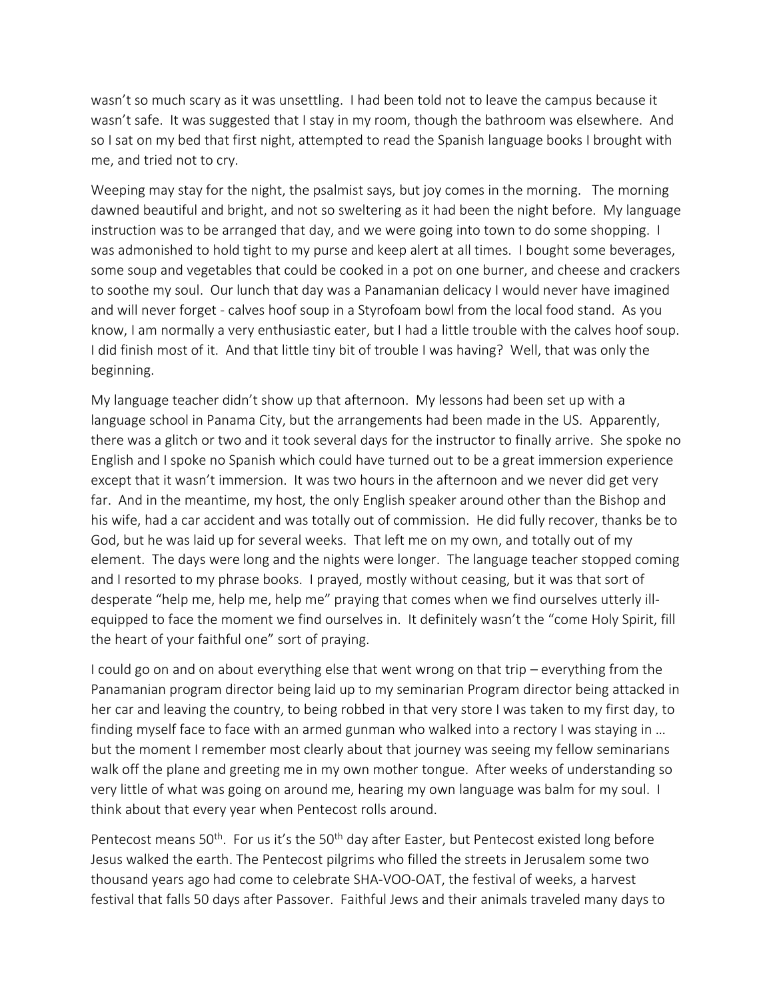wasn't so much scary as it was unsettling. I had been told not to leave the campus because it wasn't safe. It was suggested that I stay in my room, though the bathroom was elsewhere. And so I sat on my bed that first night, attempted to read the Spanish language books I brought with me, and tried not to cry.

Weeping may stay for the night, the psalmist says, but joy comes in the morning. The morning dawned beautiful and bright, and not so sweltering as it had been the night before. My language instruction was to be arranged that day, and we were going into town to do some shopping. I was admonished to hold tight to my purse and keep alert at all times. I bought some beverages, some soup and vegetables that could be cooked in a pot on one burner, and cheese and crackers to soothe my soul. Our lunch that day was a Panamanian delicacy I would never have imagined and will never forget - calves hoof soup in a Styrofoam bowl from the local food stand. As you know, I am normally a very enthusiastic eater, but I had a little trouble with the calves hoof soup. I did finish most of it. And that little tiny bit of trouble I was having? Well, that was only the beginning.

My language teacher didn't show up that afternoon. My lessons had been set up with a language school in Panama City, but the arrangements had been made in the US. Apparently, there was a glitch or two and it took several days for the instructor to finally arrive. She spoke no English and I spoke no Spanish which could have turned out to be a great immersion experience except that it wasn't immersion. It was two hours in the afternoon and we never did get very far. And in the meantime, my host, the only English speaker around other than the Bishop and his wife, had a car accident and was totally out of commission. He did fully recover, thanks be to God, but he was laid up for several weeks. That left me on my own, and totally out of my element. The days were long and the nights were longer. The language teacher stopped coming and I resorted to my phrase books. I prayed, mostly without ceasing, but it was that sort of desperate "help me, help me, help me" praying that comes when we find ourselves utterly illequipped to face the moment we find ourselves in. It definitely wasn't the "come Holy Spirit, fill the heart of your faithful one" sort of praying.

I could go on and on about everything else that went wrong on that trip – everything from the Panamanian program director being laid up to my seminarian Program director being attacked in her car and leaving the country, to being robbed in that very store I was taken to my first day, to finding myself face to face with an armed gunman who walked into a rectory I was staying in … but the moment I remember most clearly about that journey was seeing my fellow seminarians walk off the plane and greeting me in my own mother tongue. After weeks of understanding so very little of what was going on around me, hearing my own language was balm for my soul. I think about that every year when Pentecost rolls around.

Pentecost means 50<sup>th</sup>. For us it's the 50<sup>th</sup> day after Easter, but Pentecost existed long before Jesus walked the earth. The Pentecost pilgrims who filled the streets in Jerusalem some two thousand years ago had come to celebrate SHA-VOO-OAT, the festival of weeks, a harvest festival that falls 50 days after Passover. Faithful Jews and their animals traveled many days to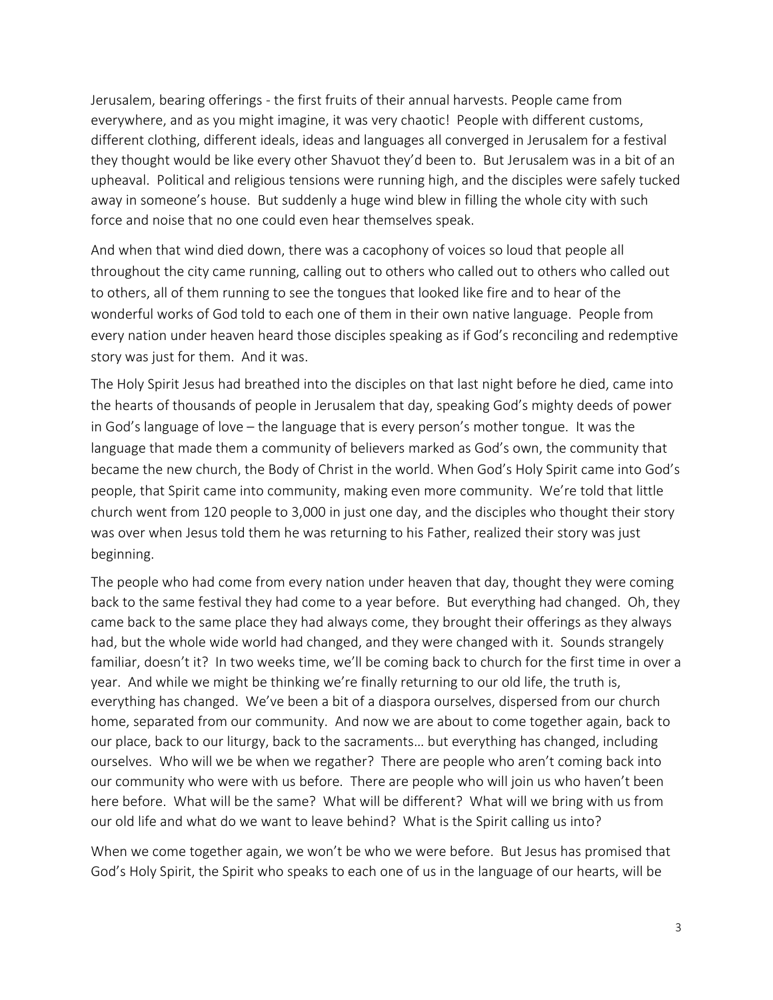Jerusalem, bearing offerings - the first fruits of their annual harvests. People came from everywhere, and as you might imagine, it was very chaotic! People with different customs, different clothing, different ideals, ideas and languages all converged in Jerusalem for a festival they thought would be like every other Shavuot they'd been to. But Jerusalem was in a bit of an upheaval. Political and religious tensions were running high, and the disciples were safely tucked away in someone's house. But suddenly a huge wind blew in filling the whole city with such force and noise that no one could even hear themselves speak.

And when that wind died down, there was a cacophony of voices so loud that people all throughout the city came running, calling out to others who called out to others who called out to others, all of them running to see the tongues that looked like fire and to hear of the wonderful works of God told to each one of them in their own native language. People from every nation under heaven heard those disciples speaking as if God's reconciling and redemptive story was just for them. And it was.

The Holy Spirit Jesus had breathed into the disciples on that last night before he died, came into the hearts of thousands of people in Jerusalem that day, speaking God's mighty deeds of power in God's language of love – the language that is every person's mother tongue. It was the language that made them a community of believers marked as God's own, the community that became the new church, the Body of Christ in the world. When God's Holy Spirit came into God's people, that Spirit came into community, making even more community. We're told that little church went from 120 people to 3,000 in just one day, and the disciples who thought their story was over when Jesus told them he was returning to his Father, realized their story was just beginning.

The people who had come from every nation under heaven that day, thought they were coming back to the same festival they had come to a year before. But everything had changed. Oh, they came back to the same place they had always come, they brought their offerings as they always had, but the whole wide world had changed, and they were changed with it. Sounds strangely familiar, doesn't it? In two weeks time, we'll be coming back to church for the first time in over a year. And while we might be thinking we're finally returning to our old life, the truth is, everything has changed. We've been a bit of a diaspora ourselves, dispersed from our church home, separated from our community. And now we are about to come together again, back to our place, back to our liturgy, back to the sacraments… but everything has changed, including ourselves. Who will we be when we regather? There are people who aren't coming back into our community who were with us before. There are people who will join us who haven't been here before. What will be the same? What will be different? What will we bring with us from our old life and what do we want to leave behind? What is the Spirit calling us into?

When we come together again, we won't be who we were before. But Jesus has promised that God's Holy Spirit, the Spirit who speaks to each one of us in the language of our hearts, will be